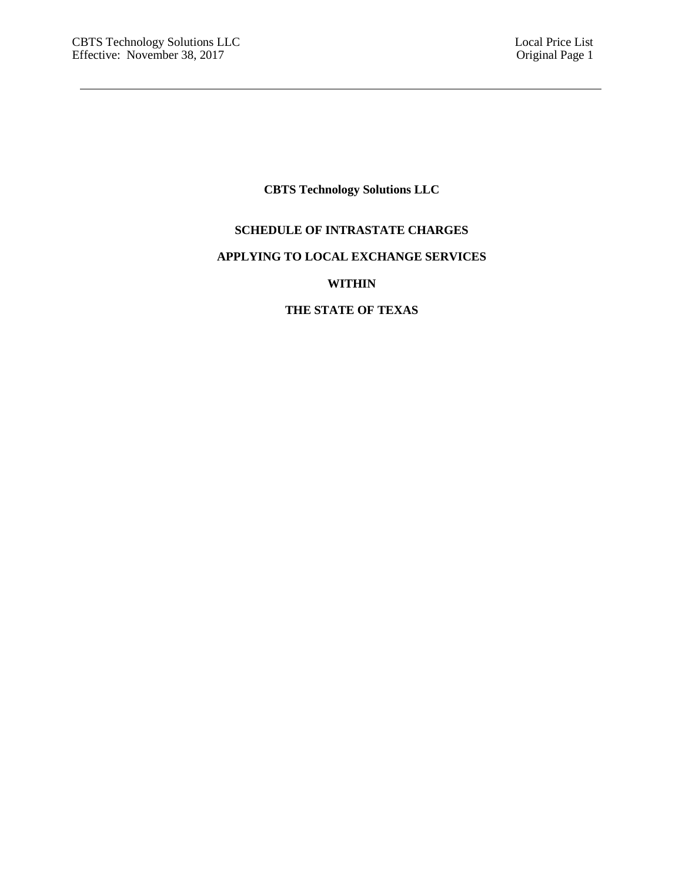# **CBTS Technology Solutions LLC**

# **SCHEDULE OF INTRASTATE CHARGES**

## **APPLYING TO LOCAL EXCHANGE SERVICES**

# **WITHIN**

# **THE STATE OF TEXAS**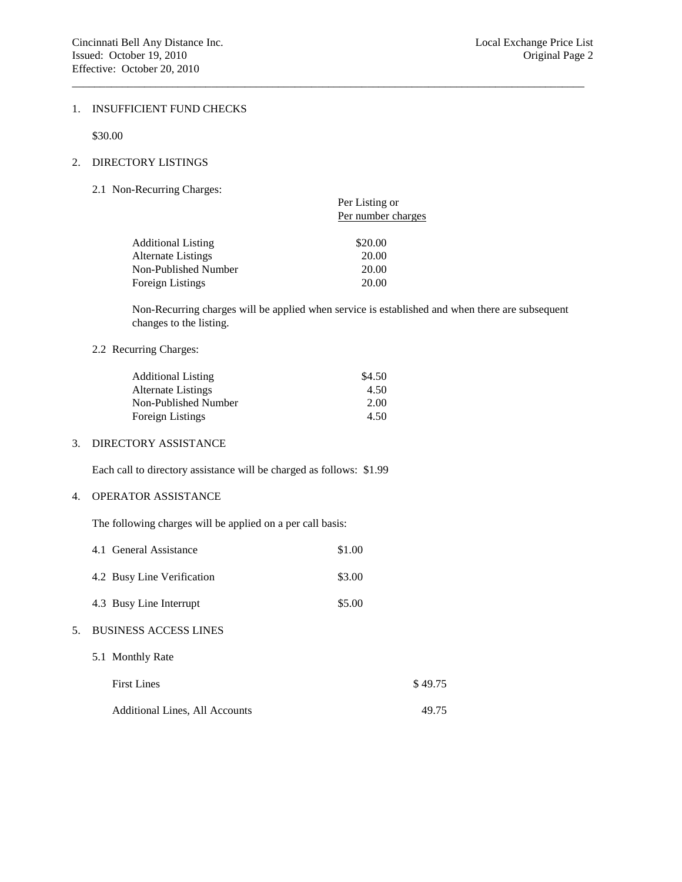#### 1. INSUFFICIENT FUND CHECKS

\$30.00

### 2. DIRECTORY LISTINGS

2.1 Non-Recurring Charges:

|                           | Per Listing or<br>Per number charges |  |  |
|---------------------------|--------------------------------------|--|--|
| <b>Additional Listing</b> | \$20.00                              |  |  |
| Alternate Listings        | 20.00                                |  |  |
| Non-Published Number      | 20.00                                |  |  |
| Foreign Listings          | 20.00                                |  |  |
|                           |                                      |  |  |

Non-Recurring charges will be applied when service is established and when there are subsequent changes to the listing.

 $\_$  ,  $\_$  ,  $\_$  ,  $\_$  ,  $\_$  ,  $\_$  ,  $\_$  ,  $\_$  ,  $\_$  ,  $\_$  ,  $\_$  ,  $\_$  ,  $\_$  ,  $\_$  ,  $\_$  ,  $\_$  ,  $\_$  ,  $\_$  ,  $\_$  ,  $\_$  ,  $\_$  ,  $\_$  ,  $\_$  ,  $\_$  ,  $\_$  ,  $\_$  ,  $\_$  ,  $\_$  ,  $\_$  ,  $\_$  ,  $\_$  ,  $\_$  ,  $\_$  ,  $\_$  ,  $\_$  ,  $\_$  ,  $\_$  ,

#### 2.2 Recurring Charges:

| <b>Additional Listing</b> | \$4.50 |
|---------------------------|--------|
| Alternate Listings        | 4.50   |
| Non-Published Number      | 2.00   |
| <b>Foreign Listings</b>   | 4.50   |

### 3. DIRECTORY ASSISTANCE

Each call to directory assistance will be charged as follows: \$1.99

### 4. OPERATOR ASSISTANCE

The following charges will be applied on a per call basis:

|    | 4.1 General Assistance                | \$1.00 |         |
|----|---------------------------------------|--------|---------|
|    | 4.2 Busy Line Verification            | \$3.00 |         |
|    | 4.3 Busy Line Interrupt               | \$5.00 |         |
| 5. | <b>BUSINESS ACCESS LINES</b>          |        |         |
|    | 5.1 Monthly Rate                      |        |         |
|    | <b>First Lines</b>                    |        | \$49.75 |
|    | <b>Additional Lines, All Accounts</b> |        | 49.75   |